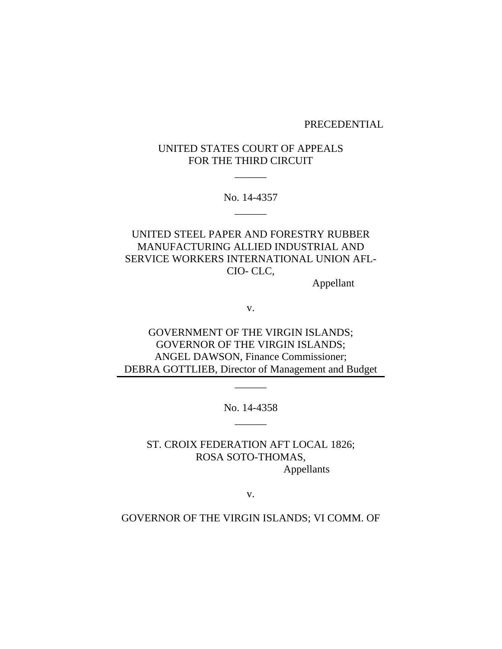### PRECEDENTIAL

# UNITED STATES COURT OF APPEALS FOR THE THIRD CIRCUIT

 $\overline{\phantom{a}}$ 

No. 14-4357 \_\_\_\_\_\_

UNITED STEEL PAPER AND FORESTRY RUBBER MANUFACTURING ALLIED INDUSTRIAL AND SERVICE WORKERS INTERNATIONAL UNION AFL-CIO- CLC,

Appellant

v.

GOVERNMENT OF THE VIRGIN ISLANDS; GOVERNOR OF THE VIRGIN ISLANDS; ANGEL DAWSON, Finance Commissioner; DEBRA GOTTLIEB, Director of Management and Budget

> No. 14-4358  $\overline{\phantom{a}}$

\_\_\_\_\_\_

ST. CROIX FEDERATION AFT LOCAL 1826; ROSA SOTO-THOMAS, Appellants

v.

GOVERNOR OF THE VIRGIN ISLANDS; VI COMM. OF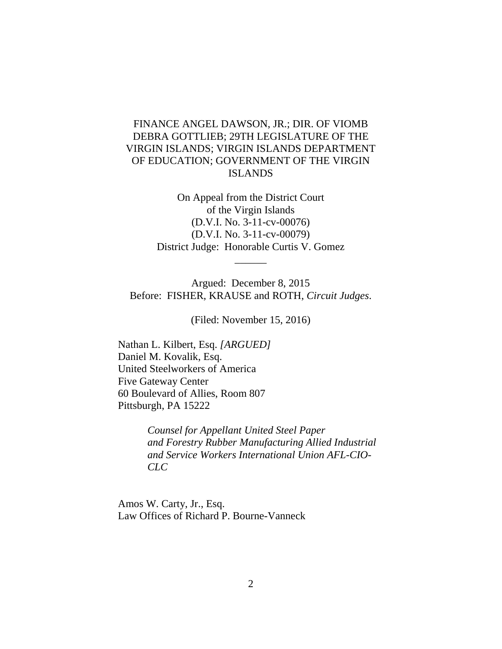# FINANCE ANGEL DAWSON, JR.; DIR. OF VIOMB DEBRA GOTTLIEB; 29TH LEGISLATURE OF THE VIRGIN ISLANDS; VIRGIN ISLANDS DEPARTMENT OF EDUCATION; GOVERNMENT OF THE VIRGIN ISLANDS

On Appeal from the District Court of the Virgin Islands (D.V.I. No. 3-11-cv-00076) (D.V.I. No. 3-11-cv-00079) District Judge: Honorable Curtis V. Gomez

 $\overline{\phantom{a}}$ 

Argued: December 8, 2015 Before: FISHER, KRAUSE and ROTH, *Circuit Judges*.

(Filed: November 15, 2016)

Nathan L. Kilbert, Esq. *[ARGUED]* Daniel M. Kovalik, Esq. United Steelworkers of America Five Gateway Center 60 Boulevard of Allies, Room 807 Pittsburgh, PA 15222

> *Counsel for Appellant United Steel Paper and Forestry Rubber Manufacturing Allied Industrial and Service Workers International Union AFL-CIO-CLC*

Amos W. Carty, Jr., Esq. Law Offices of Richard P. Bourne-Vanneck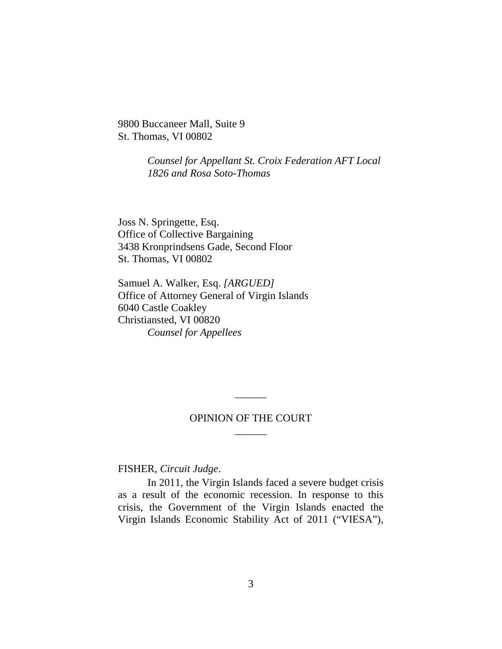9800 Buccaneer Mall, Suite 9 St. Thomas, VI 00802

> *Counsel for Appellant St. Croix Federation AFT Local 1826 and Rosa Soto-Thomas*

Joss N. Springette, Esq. Office of Collective Bargaining 3438 Kronprindsens Gade, Second Floor St. Thomas, VI 00802

Samuel A. Walker, Esq. *[ARGUED]* Office of Attorney General of Virgin Islands 6040 Castle Coakley Christiansted, VI 00820 *Counsel for Appellees*

# OPINION OF THE COURT  $\overline{\phantom{a}}$

\_\_\_\_\_\_

FISHER, *Circuit Judge*.

In 2011, the Virgin Islands faced a severe budget crisis as a result of the economic recession. In response to this crisis, the Government of the Virgin Islands enacted the Virgin Islands Economic Stability Act of 2011 ("VIESA"),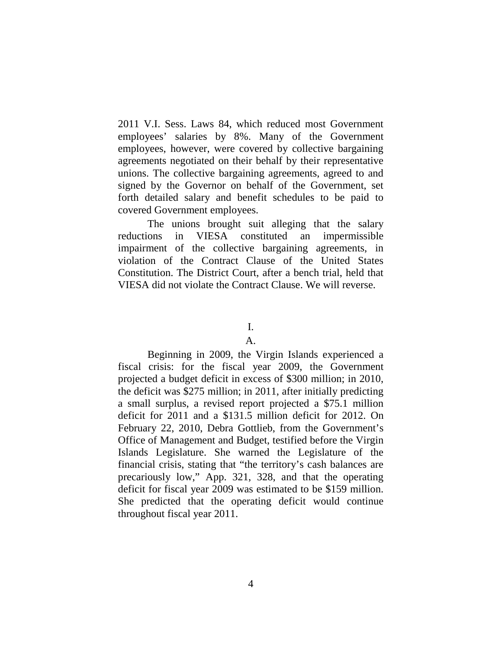2011 V.I. Sess. Laws 84, which reduced most Government employees' salaries by 8%. Many of the Government employees, however, were covered by collective bargaining agreements negotiated on their behalf by their representative unions. The collective bargaining agreements, agreed to and signed by the Governor on behalf of the Government, set forth detailed salary and benefit schedules to be paid to covered Government employees.

The unions brought suit alleging that the salary reductions in VIESA constituted an impermissible impairment of the collective bargaining agreements, in violation of the Contract Clause of the United States Constitution. The District Court, after a bench trial, held that VIESA did not violate the Contract Clause. We will reverse.

### I.

# A.

Beginning in 2009, the Virgin Islands experienced a fiscal crisis: for the fiscal year 2009, the Government projected a budget deficit in excess of \$300 million; in 2010, the deficit was \$275 million; in 2011, after initially predicting a small surplus, a revised report projected a \$75.1 million deficit for 2011 and a \$131.5 million deficit for 2012. On February 22, 2010, Debra Gottlieb, from the Government's Office of Management and Budget, testified before the Virgin Islands Legislature. She warned the Legislature of the financial crisis, stating that "the territory's cash balances are precariously low," App. 321, 328, and that the operating deficit for fiscal year 2009 was estimated to be \$159 million. She predicted that the operating deficit would continue throughout fiscal year 2011.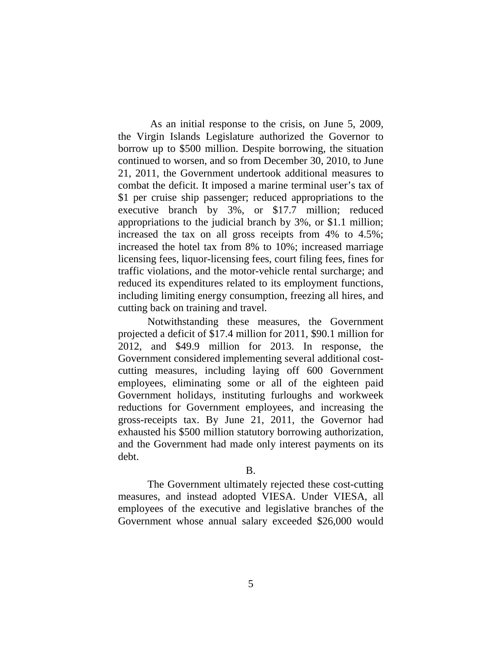As an initial response to the crisis, on June 5, 2009, the Virgin Islands Legislature authorized the Governor to borrow up to \$500 million. Despite borrowing, the situation continued to worsen, and so from December 30, 2010, to June 21, 2011, the Government undertook additional measures to combat the deficit. It imposed a marine terminal user's tax of \$1 per cruise ship passenger; reduced appropriations to the executive branch by 3%, or \$17.7 million; reduced appropriations to the judicial branch by 3%, or \$1.1 million; increased the tax on all gross receipts from 4% to 4.5%; increased the hotel tax from 8% to 10%; increased marriage licensing fees, liquor-licensing fees, court filing fees, fines for traffic violations, and the motor-vehicle rental surcharge; and reduced its expenditures related to its employment functions, including limiting energy consumption, freezing all hires, and cutting back on training and travel.

Notwithstanding these measures, the Government projected a deficit of \$17.4 million for 2011, \$90.1 million for 2012, and \$49.9 million for 2013. In response, the Government considered implementing several additional costcutting measures, including laying off 600 Government employees, eliminating some or all of the eighteen paid Government holidays, instituting furloughs and workweek reductions for Government employees, and increasing the gross-receipts tax. By June 21, 2011, the Governor had exhausted his \$500 million statutory borrowing authorization, and the Government had made only interest payments on its debt.

# B.

The Government ultimately rejected these cost-cutting measures, and instead adopted VIESA. Under VIESA, all employees of the executive and legislative branches of the Government whose annual salary exceeded \$26,000 would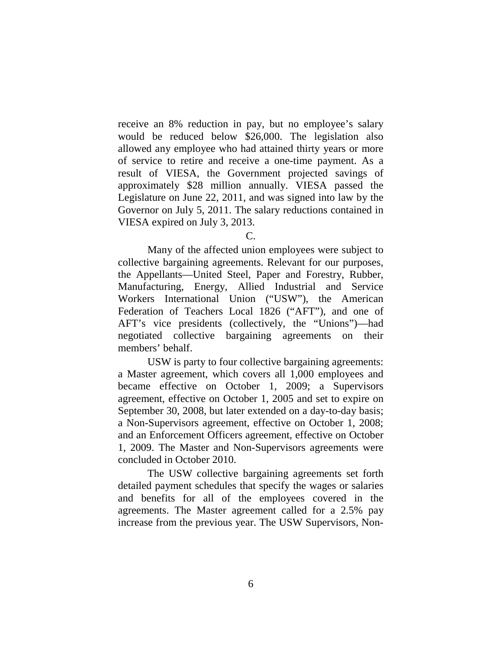receive an 8% reduction in pay, but no employee's salary would be reduced below \$26,000. The legislation also allowed any employee who had attained thirty years or more of service to retire and receive a one-time payment. As a result of VIESA, the Government projected savings of approximately \$28 million annually. VIESA passed the Legislature on June 22, 2011, and was signed into law by the Governor on July 5, 2011. The salary reductions contained in VIESA expired on July 3, 2013.

## C.

Many of the affected union employees were subject to collective bargaining agreements. Relevant for our purposes, the Appellants—United Steel, Paper and Forestry, Rubber, Manufacturing, Energy, Allied Industrial and Service Workers International Union ("USW"), the American Federation of Teachers Local 1826 ("AFT"), and one of AFT's vice presidents (collectively, the "Unions")—had negotiated collective bargaining agreements on their members' behalf.

USW is party to four collective bargaining agreements: a Master agreement, which covers all 1,000 employees and became effective on October 1, 2009; a Supervisors agreement, effective on October 1, 2005 and set to expire on September 30, 2008, but later extended on a day-to-day basis; a Non-Supervisors agreement, effective on October 1, 2008; and an Enforcement Officers agreement, effective on October 1, 2009. The Master and Non-Supervisors agreements were concluded in October 2010.

The USW collective bargaining agreements set forth detailed payment schedules that specify the wages or salaries and benefits for all of the employees covered in the agreements. The Master agreement called for a 2.5% pay increase from the previous year. The USW Supervisors, Non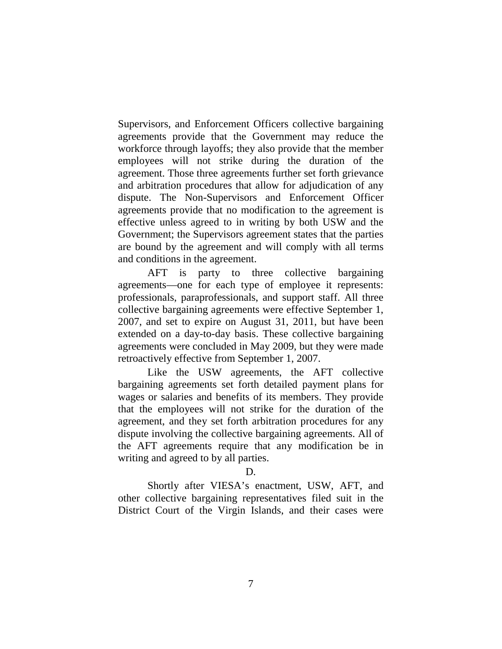Supervisors, and Enforcement Officers collective bargaining agreements provide that the Government may reduce the workforce through layoffs; they also provide that the member employees will not strike during the duration of the agreement. Those three agreements further set forth grievance and arbitration procedures that allow for adjudication of any dispute. The Non-Supervisors and Enforcement Officer agreements provide that no modification to the agreement is effective unless agreed to in writing by both USW and the Government; the Supervisors agreement states that the parties are bound by the agreement and will comply with all terms and conditions in the agreement.

AFT is party to three collective bargaining agreements—one for each type of employee it represents: professionals, paraprofessionals, and support staff. All three collective bargaining agreements were effective September 1, 2007, and set to expire on August 31, 2011, but have been extended on a day-to-day basis. These collective bargaining agreements were concluded in May 2009, but they were made retroactively effective from September 1, 2007.

Like the USW agreements, the AFT collective bargaining agreements set forth detailed payment plans for wages or salaries and benefits of its members. They provide that the employees will not strike for the duration of the agreement, and they set forth arbitration procedures for any dispute involving the collective bargaining agreements. All of the AFT agreements require that any modification be in writing and agreed to by all parties.

### D.

Shortly after VIESA's enactment, USW, AFT, and other collective bargaining representatives filed suit in the District Court of the Virgin Islands, and their cases were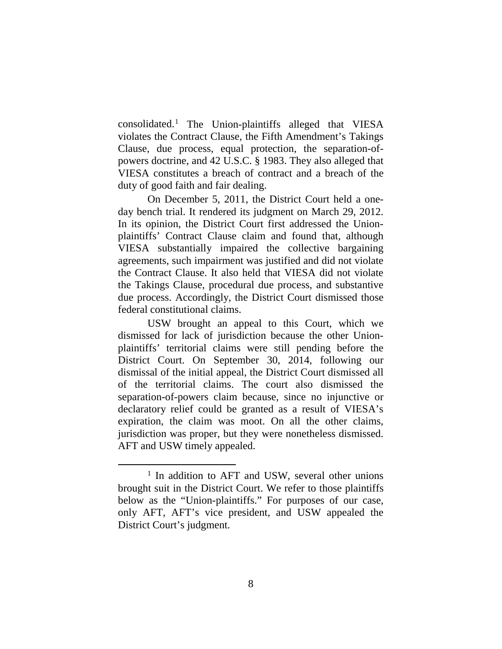consolidated.<sup>1</sup> The Union-plaintiffs alleged that VIESA violates the Contract Clause, the Fifth Amendment's Takings Clause, due process, equal protection, the separation-ofpowers doctrine, and 42 U.S.C. § 1983. They also alleged that VIESA constitutes a breach of contract and a breach of the duty of good faith and fair dealing.

On December 5, 2011, the District Court held a oneday bench trial. It rendered its judgment on March 29, 2012. In its opinion, the District Court first addressed the Unionplaintiffs' Contract Clause claim and found that, although VIESA substantially impaired the collective bargaining agreements, such impairment was justified and did not violate the Contract Clause. It also held that VIESA did not violate the Takings Clause, procedural due process, and substantive due process. Accordingly, the District Court dismissed those federal constitutional claims.

USW brought an appeal to this Court, which we dismissed for lack of jurisdiction because the other Unionplaintiffs' territorial claims were still pending before the District Court. On September 30, 2014, following our dismissal of the initial appeal, the District Court dismissed all of the territorial claims. The court also dismissed the separation-of-powers claim because, since no injunctive or declaratory relief could be granted as a result of VIESA's expiration, the claim was moot. On all the other claims, jurisdiction was proper, but they were nonetheless dismissed. AFT and USW timely appealed.

<sup>&</sup>lt;sup>1</sup> In addition to AFT and USW, several other unions brought suit in the District Court. We refer to those plaintiffs below as the "Union-plaintiffs." For purposes of our case, only AFT, AFT's vice president, and USW appealed the District Court's judgment.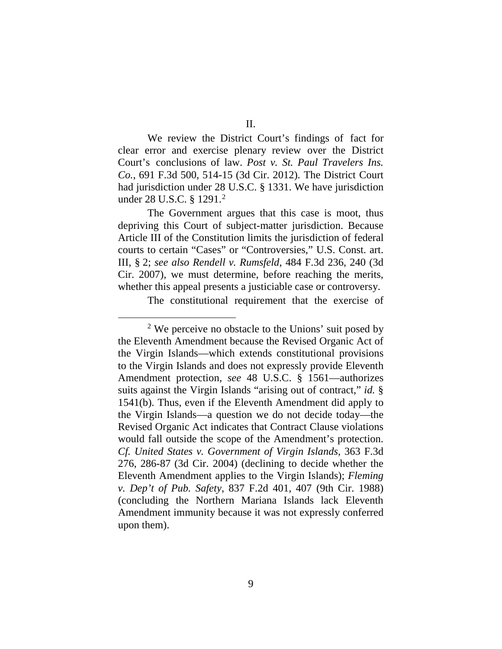We review the District Court's findings of fact for clear error and exercise plenary review over the District Court's conclusions of law. *Post v. St. Paul Travelers Ins. Co.*, 691 F.3d 500, 514-15 (3d Cir. 2012). The District Court had jurisdiction under 28 U.S.C. § 1331. We have jurisdiction under 28 U.S.C. § 1291.2

The Government argues that this case is moot, thus depriving this Court of subject-matter jurisdiction. Because Article III of the Constitution limits the jurisdiction of federal courts to certain "Cases" or "Controversies," U.S. Const. art. III, § 2; *see also Rendell v. Rumsfeld*, 484 F.3d 236, 240 (3d Cir. 2007), we must determine, before reaching the merits, whether this appeal presents a justiciable case or controversy.

The constitutional requirement that the exercise of

 $2$  We perceive no obstacle to the Unions' suit posed by the Eleventh Amendment because the Revised Organic Act of the Virgin Islands—which extends constitutional provisions to the Virgin Islands and does not expressly provide Eleventh Amendment protection, *see* 48 U.S.C. § 1561—authorizes suits against the Virgin Islands "arising out of contract," *id.* § 1541(b). Thus, even if the Eleventh Amendment did apply to the Virgin Islands—a question we do not decide today—the Revised Organic Act indicates that Contract Clause violations would fall outside the scope of the Amendment's protection. *Cf. United States v. Government of Virgin Islands*, 363 F.3d 276, 286-87 (3d Cir. 2004) (declining to decide whether the Eleventh Amendment applies to the Virgin Islands); *Fleming v. Dep't of Pub. Safety*, 837 F.2d 401, 407 (9th Cir. 1988) (concluding the Northern Mariana Islands lack Eleventh Amendment immunity because it was not expressly conferred upon them).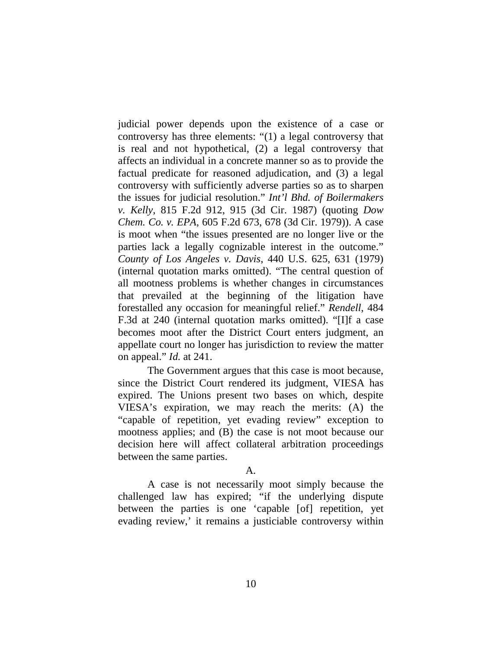judicial power depends upon the existence of a case or controversy has three elements: "(1) a legal controversy that is real and not hypothetical, (2) a legal controversy that affects an individual in a concrete manner so as to provide the factual predicate for reasoned adjudication, and (3) a legal controversy with sufficiently adverse parties so as to sharpen the issues for judicial resolution." *Int'l Bhd. of Boilermakers v. Kelly*, 815 F.2d 912, 915 (3d Cir. 1987) (quoting *Dow Chem. Co. v. EPA*, 605 F.2d 673, 678 (3d Cir. 1979)). A case is moot when "the issues presented are no longer live or the parties lack a legally cognizable interest in the outcome." *County of Los Angeles v. Davis*, 440 U.S. 625, 631 (1979) (internal quotation marks omitted). "The central question of all mootness problems is whether changes in circumstances that prevailed at the beginning of the litigation have forestalled any occasion for meaningful relief." *Rendell*, 484 F.3d at 240 (internal quotation marks omitted). "[I]f a case becomes moot after the District Court enters judgment, an appellate court no longer has jurisdiction to review the matter on appeal." *Id.* at 241.

The Government argues that this case is moot because, since the District Court rendered its judgment, VIESA has expired. The Unions present two bases on which, despite VIESA's expiration, we may reach the merits: (A) the "capable of repetition, yet evading review" exception to mootness applies; and (B) the case is not moot because our decision here will affect collateral arbitration proceedings between the same parties.

## A.

A case is not necessarily moot simply because the challenged law has expired; "if the underlying dispute between the parties is one 'capable [of] repetition, yet evading review,' it remains a justiciable controversy within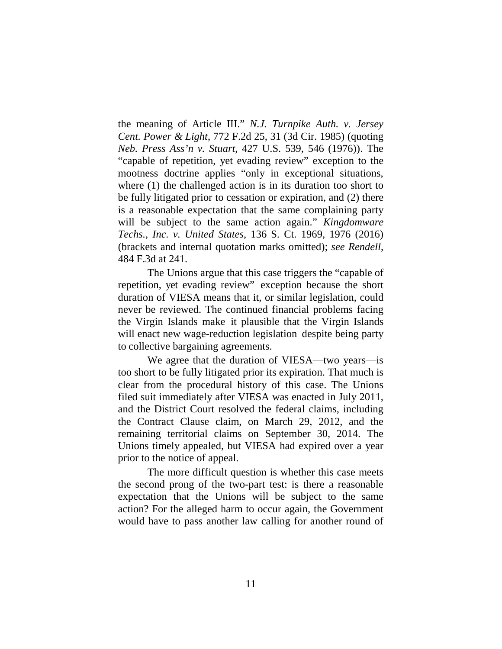the meaning of Article III." *N.J. Turnpike Auth. v. Jersey Cent. Power & Light*, 772 F.2d 25, 31 (3d Cir. 1985) (quoting *Neb. Press Ass'n v. Stuart*, 427 U.S. 539, 546 (1976)). The "capable of repetition, yet evading review" exception to the mootness doctrine applies "only in exceptional situations, where (1) the challenged action is in its duration too short to be fully litigated prior to cessation or expiration, and (2) there is a reasonable expectation that the same complaining party will be subject to the same action again." *Kingdomware Techs., Inc. v. United States*, 136 S. Ct. 1969, 1976 (2016) (brackets and internal quotation marks omitted); *see Rendell*, 484 F.3d at 241.

The Unions argue that this case triggers the "capable of repetition, yet evading review" exception because the short duration of VIESA means that it, or similar legislation, could never be reviewed. The continued financial problems facing the Virgin Islands make it plausible that the Virgin Islands will enact new wage-reduction legislation despite being party to collective bargaining agreements.

We agree that the duration of VIESA—two years—is too short to be fully litigated prior its expiration. That much is clear from the procedural history of this case. The Unions filed suit immediately after VIESA was enacted in July 2011, and the District Court resolved the federal claims, including the Contract Clause claim, on March 29, 2012, and the remaining territorial claims on September 30, 2014. The Unions timely appealed, but VIESA had expired over a year prior to the notice of appeal.

The more difficult question is whether this case meets the second prong of the two-part test: is there a reasonable expectation that the Unions will be subject to the same action? For the alleged harm to occur again, the Government would have to pass another law calling for another round of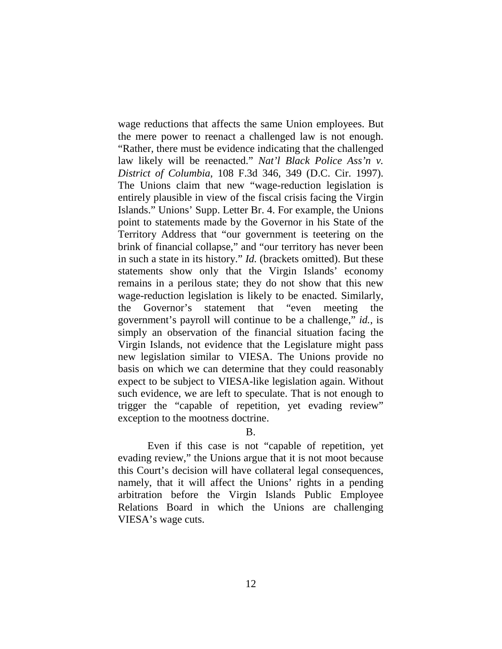wage reductions that affects the same Union employees. But the mere power to reenact a challenged law is not enough. "Rather, there must be evidence indicating that the challenged law likely will be reenacted." *Nat'l Black Police Ass'n v. District of Columbia*, 108 F.3d 346, 349 (D.C. Cir. 1997). The Unions claim that new "wage-reduction legislation is entirely plausible in view of the fiscal crisis facing the Virgin Islands." Unions' Supp. Letter Br. 4. For example, the Unions point to statements made by the Governor in his State of the Territory Address that "our government is teetering on the brink of financial collapse," and "our territory has never been in such a state in its history." *Id.* (brackets omitted). But these statements show only that the Virgin Islands' economy remains in a perilous state; they do not show that this new wage-reduction legislation is likely to be enacted. Similarly, the Governor's statement that "even meeting the government's payroll will continue to be a challenge," *id.*, is simply an observation of the financial situation facing the Virgin Islands, not evidence that the Legislature might pass new legislation similar to VIESA. The Unions provide no basis on which we can determine that they could reasonably expect to be subject to VIESA-like legislation again. Without such evidence, we are left to speculate. That is not enough to trigger the "capable of repetition, yet evading review" exception to the mootness doctrine.

# B.

Even if this case is not "capable of repetition, yet evading review," the Unions argue that it is not moot because this Court's decision will have collateral legal consequences, namely, that it will affect the Unions' rights in a pending arbitration before the Virgin Islands Public Employee Relations Board in which the Unions are challenging VIESA's wage cuts.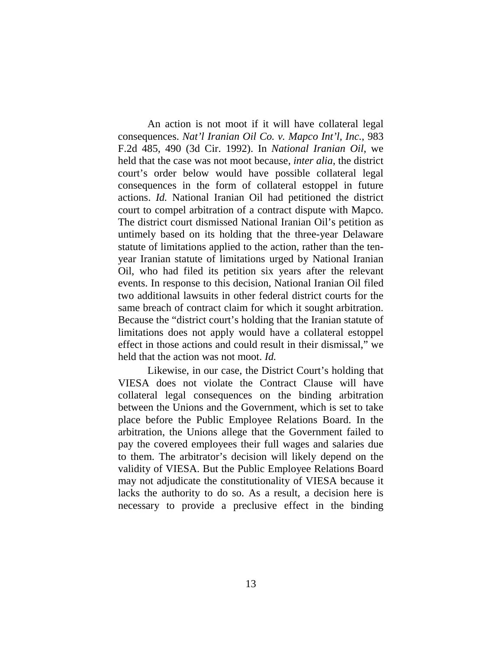An action is not moot if it will have collateral legal consequences. *Nat'l Iranian Oil Co. v. Mapco Int'l, Inc.*, 983 F.2d 485, 490 (3d Cir. 1992). In *National Iranian Oil*, we held that the case was not moot because, *inter alia*, the district court's order below would have possible collateral legal consequences in the form of collateral estoppel in future actions. *Id.* National Iranian Oil had petitioned the district court to compel arbitration of a contract dispute with Mapco. The district court dismissed National Iranian Oil's petition as untimely based on its holding that the three-year Delaware statute of limitations applied to the action, rather than the tenyear Iranian statute of limitations urged by National Iranian Oil, who had filed its petition six years after the relevant events. In response to this decision, National Iranian Oil filed two additional lawsuits in other federal district courts for the same breach of contract claim for which it sought arbitration. Because the "district court's holding that the Iranian statute of limitations does not apply would have a collateral estoppel effect in those actions and could result in their dismissal," we held that the action was not moot. *Id.*

Likewise, in our case, the District Court's holding that VIESA does not violate the Contract Clause will have collateral legal consequences on the binding arbitration between the Unions and the Government, which is set to take place before the Public Employee Relations Board. In the arbitration, the Unions allege that the Government failed to pay the covered employees their full wages and salaries due to them. The arbitrator's decision will likely depend on the validity of VIESA. But the Public Employee Relations Board may not adjudicate the constitutionality of VIESA because it lacks the authority to do so. As a result, a decision here is necessary to provide a preclusive effect in the binding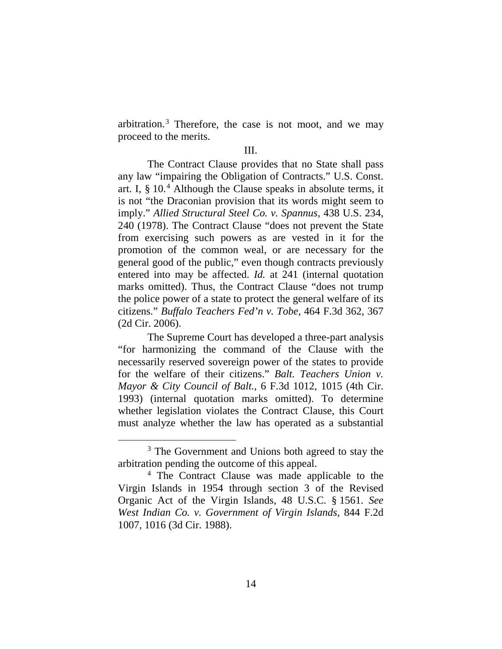arbitration.<sup>3</sup> Therefore, the case is not moot, and we may proceed to the merits.

#### III.

The Contract Clause provides that no State shall pass any law "impairing the Obligation of Contracts." U.S. Const. art. I,  $\S$  10.<sup>4</sup> Although the Clause speaks in absolute terms, it is not "the Draconian provision that its words might seem to imply." *Allied Structural Steel Co. v. Spannus*, 438 U.S. 234, 240 (1978). The Contract Clause "does not prevent the State from exercising such powers as are vested in it for the promotion of the common weal, or are necessary for the general good of the public," even though contracts previously entered into may be affected. *Id.* at 241 (internal quotation marks omitted). Thus, the Contract Clause "does not trump the police power of a state to protect the general welfare of its citizens." *Buffalo Teachers Fed'n v. Tobe*, 464 F.3d 362, 367 (2d Cir. 2006).

The Supreme Court has developed a three-part analysis "for harmonizing the command of the Clause with the necessarily reserved sovereign power of the states to provide for the welfare of their citizens." *Balt. Teachers Union v. Mayor & City Council of Balt.*, 6 F.3d 1012, 1015 (4th Cir. 1993) (internal quotation marks omitted). To determine whether legislation violates the Contract Clause, this Court must analyze whether the law has operated as a substantial

<sup>&</sup>lt;sup>3</sup> The Government and Unions both agreed to stay the arbitration pending the outcome of this appeal.

<sup>4</sup> The Contract Clause was made applicable to the Virgin Islands in 1954 through section 3 of the Revised Organic Act of the Virgin Islands, 48 U.S.C. § 1561. *See West Indian Co. v. Government of Virgin Islands*, 844 F.2d 1007, 1016 (3d Cir. 1988).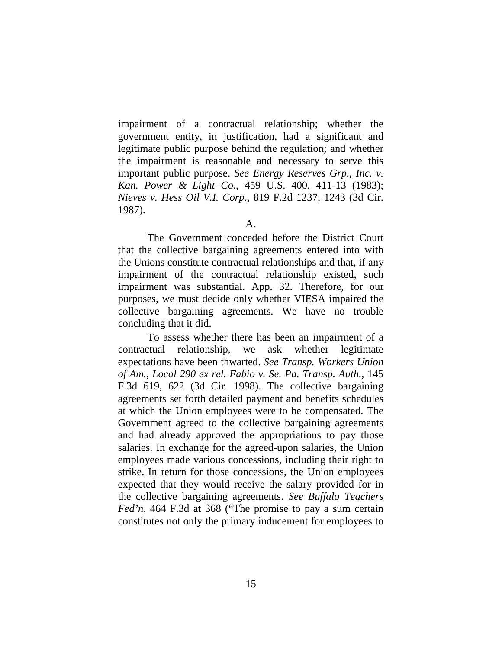impairment of a contractual relationship; whether the government entity, in justification, had a significant and legitimate public purpose behind the regulation; and whether the impairment is reasonable and necessary to serve this important public purpose. *See Energy Reserves Grp., Inc. v. Kan. Power & Light Co.*, 459 U.S. 400, 411-13 (1983); *Nieves v. Hess Oil V.I. Corp.*, 819 F.2d 1237, 1243 (3d Cir. 1987).

The Government conceded before the District Court that the collective bargaining agreements entered into with the Unions constitute contractual relationships and that, if any impairment of the contractual relationship existed, such impairment was substantial. App. 32. Therefore, for our purposes, we must decide only whether VIESA impaired the collective bargaining agreements. We have no trouble concluding that it did.

To assess whether there has been an impairment of a contractual relationship, we ask whether legitimate expectations have been thwarted. *See Transp. Workers Union of Am., Local 290 ex rel. Fabio v. Se. Pa. Transp. Auth.*, 145 F.3d 619, 622 (3d Cir. 1998). The collective bargaining agreements set forth detailed payment and benefits schedules at which the Union employees were to be compensated. The Government agreed to the collective bargaining agreements and had already approved the appropriations to pay those salaries. In exchange for the agreed-upon salaries, the Union employees made various concessions, including their right to strike. In return for those concessions, the Union employees expected that they would receive the salary provided for in the collective bargaining agreements. *See Buffalo Teachers Fed'n*, 464 F.3d at 368 ("The promise to pay a sum certain constitutes not only the primary inducement for employees to

A.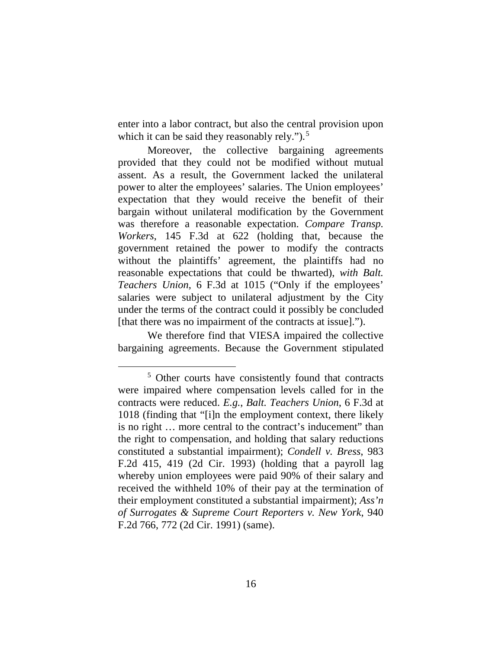enter into a labor contract, but also the central provision upon which it can be said they reasonably rely."). $5$ 

Moreover, the collective bargaining agreements provided that they could not be modified without mutual assent. As a result, the Government lacked the unilateral power to alter the employees' salaries. The Union employees' expectation that they would receive the benefit of their bargain without unilateral modification by the Government was therefore a reasonable expectation. *Compare Transp. Workers*, 145 F.3d at 622 (holding that, because the government retained the power to modify the contracts without the plaintiffs' agreement, the plaintiffs had no reasonable expectations that could be thwarted), *with Balt. Teachers Union*, 6 F.3d at 1015 ("Only if the employees' salaries were subject to unilateral adjustment by the City under the terms of the contract could it possibly be concluded [that there was no impairment of the contracts at issue].").

We therefore find that VIESA impaired the collective bargaining agreements. Because the Government stipulated

 <sup>5</sup> Other courts have consistently found that contracts were impaired where compensation levels called for in the contracts were reduced. *E.g.*, *Balt. Teachers Union*, 6 F.3d at 1018 (finding that "[i]n the employment context, there likely is no right … more central to the contract's inducement" than the right to compensation, and holding that salary reductions constituted a substantial impairment); *Condell v. Bress*, 983 F.2d 415, 419 (2d Cir. 1993) (holding that a payroll lag whereby union employees were paid 90% of their salary and received the withheld 10% of their pay at the termination of their employment constituted a substantial impairment); *Ass'n of Surrogates & Supreme Court Reporters v. New York*, 940 F.2d 766, 772 (2d Cir. 1991) (same).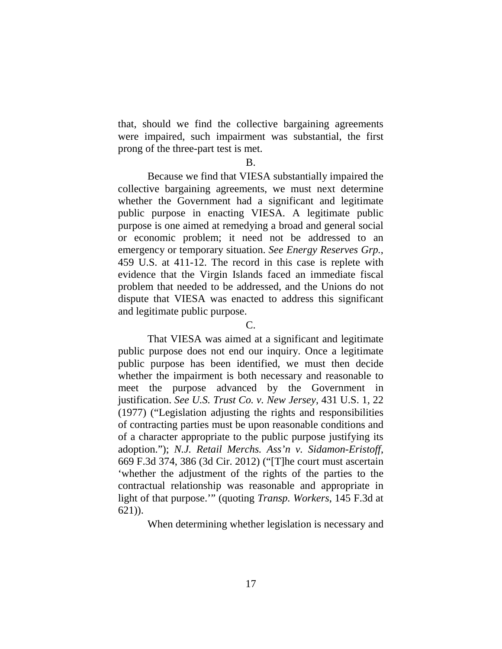that, should we find the collective bargaining agreements were impaired, such impairment was substantial, the first prong of the three-part test is met.

B.

Because we find that VIESA substantially impaired the collective bargaining agreements, we must next determine whether the Government had a significant and legitimate public purpose in enacting VIESA. A legitimate public purpose is one aimed at remedying a broad and general social or economic problem; it need not be addressed to an emergency or temporary situation. *See Energy Reserves Grp.*, 459 U.S. at 411-12. The record in this case is replete with evidence that the Virgin Islands faced an immediate fiscal problem that needed to be addressed, and the Unions do not dispute that VIESA was enacted to address this significant and legitimate public purpose.

C.

That VIESA was aimed at a significant and legitimate public purpose does not end our inquiry. Once a legitimate public purpose has been identified, we must then decide whether the impairment is both necessary and reasonable to meet the purpose advanced by the Government in justification. *See U.S. Trust Co. v. New Jersey*, 431 U.S. 1, 22 (1977) ("Legislation adjusting the rights and responsibilities of contracting parties must be upon reasonable conditions and of a character appropriate to the public purpose justifying its adoption."); *N.J. Retail Merchs. Ass'n v. Sidamon-Eristoff*, 669 F.3d 374, 386 (3d Cir. 2012) ("[T]he court must ascertain 'whether the adjustment of the rights of the parties to the contractual relationship was reasonable and appropriate in light of that purpose.'" (quoting *Transp. Workers*, 145 F.3d at 621)).

When determining whether legislation is necessary and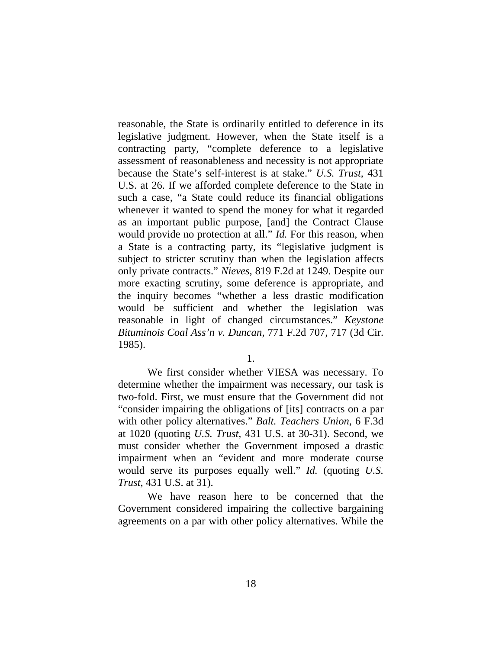reasonable, the State is ordinarily entitled to deference in its legislative judgment. However, when the State itself is a contracting party, "complete deference to a legislative assessment of reasonableness and necessity is not appropriate because the State's self-interest is at stake." *U.S. Trust*, 431 U.S. at 26. If we afforded complete deference to the State in such a case, "a State could reduce its financial obligations whenever it wanted to spend the money for what it regarded as an important public purpose, [and] the Contract Clause would provide no protection at all." *Id.* For this reason, when a State is a contracting party, its "legislative judgment is subject to stricter scrutiny than when the legislation affects only private contracts." *Nieves*, 819 F.2d at 1249. Despite our more exacting scrutiny, some deference is appropriate, and the inquiry becomes "whether a less drastic modification would be sufficient and whether the legislation was reasonable in light of changed circumstances." *Keystone Bituminois Coal Ass'n v. Duncan*, 771 F.2d 707, 717 (3d Cir. 1985).

1.

We first consider whether VIESA was necessary. To determine whether the impairment was necessary, our task is two-fold. First, we must ensure that the Government did not "consider impairing the obligations of [its] contracts on a par with other policy alternatives." *Balt. Teachers Union*, 6 F.3d at 1020 (quoting *U.S. Trust*, 431 U.S. at 30-31). Second, we must consider whether the Government imposed a drastic impairment when an "evident and more moderate course would serve its purposes equally well." *Id.* (quoting *U.S. Trust*, 431 U.S. at 31).

We have reason here to be concerned that the Government considered impairing the collective bargaining agreements on a par with other policy alternatives. While the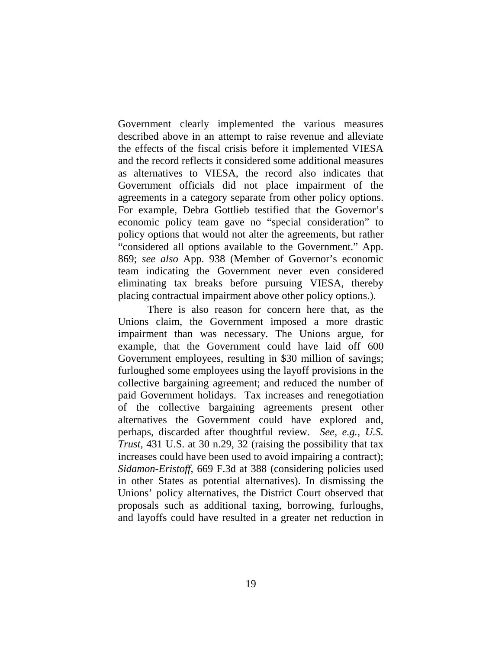Government clearly implemented the various measures described above in an attempt to raise revenue and alleviate the effects of the fiscal crisis before it implemented VIESA and the record reflects it considered some additional measures as alternatives to VIESA, the record also indicates that Government officials did not place impairment of the agreements in a category separate from other policy options. For example, Debra Gottlieb testified that the Governor's economic policy team gave no "special consideration" to policy options that would not alter the agreements, but rather "considered all options available to the Government." App. 869; *see also* App. 938 (Member of Governor's economic team indicating the Government never even considered eliminating tax breaks before pursuing VIESA, thereby placing contractual impairment above other policy options.).

There is also reason for concern here that, as the Unions claim, the Government imposed a more drastic impairment than was necessary. The Unions argue, for example, that the Government could have laid off 600 Government employees, resulting in \$30 million of savings; furloughed some employees using the layoff provisions in the collective bargaining agreement; and reduced the number of paid Government holidays. Tax increases and renegotiation of the collective bargaining agreements present other alternatives the Government could have explored and, perhaps, discarded after thoughtful review. *See, e.g.*, *U.S. Trust*, 431 U.S. at 30 n.29, 32 (raising the possibility that tax increases could have been used to avoid impairing a contract); *Sidamon-Eristoff*, 669 F.3d at 388 (considering policies used in other States as potential alternatives). In dismissing the Unions' policy alternatives, the District Court observed that proposals such as additional taxing, borrowing, furloughs, and layoffs could have resulted in a greater net reduction in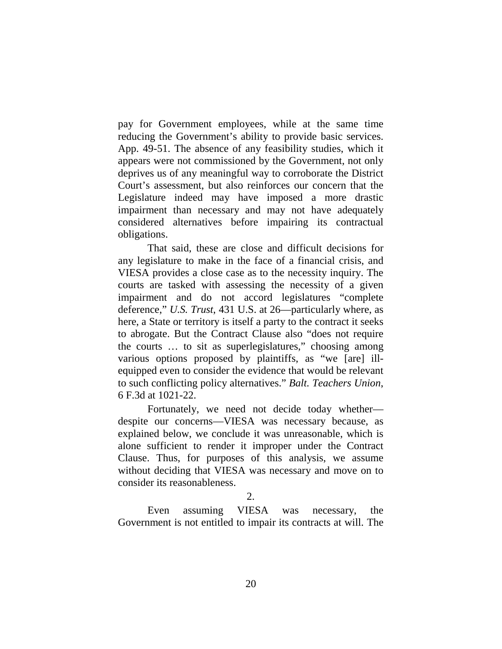pay for Government employees, while at the same time reducing the Government's ability to provide basic services. App. 49-51. The absence of any feasibility studies, which it appears were not commissioned by the Government, not only deprives us of any meaningful way to corroborate the District Court's assessment, but also reinforces our concern that the Legislature indeed may have imposed a more drastic impairment than necessary and may not have adequately considered alternatives before impairing its contractual obligations.

That said, these are close and difficult decisions for any legislature to make in the face of a financial crisis, and VIESA provides a close case as to the necessity inquiry. The courts are tasked with assessing the necessity of a given impairment and do not accord legislatures "complete deference," *U.S. Trust*, 431 U.S. at 26—particularly where, as here, a State or territory is itself a party to the contract it seeks to abrogate. But the Contract Clause also "does not require the courts … to sit as superlegislatures," choosing among various options proposed by plaintiffs, as "we [are] illequipped even to consider the evidence that would be relevant to such conflicting policy alternatives." *Balt. Teachers Union*, 6 F.3d at 1021-22.

Fortunately, we need not decide today whether despite our concerns—VIESA was necessary because, as explained below, we conclude it was unreasonable, which is alone sufficient to render it improper under the Contract Clause. Thus, for purposes of this analysis, we assume without deciding that VIESA was necessary and move on to consider its reasonableness.

2.

Even assuming VIESA was necessary, the Government is not entitled to impair its contracts at will. The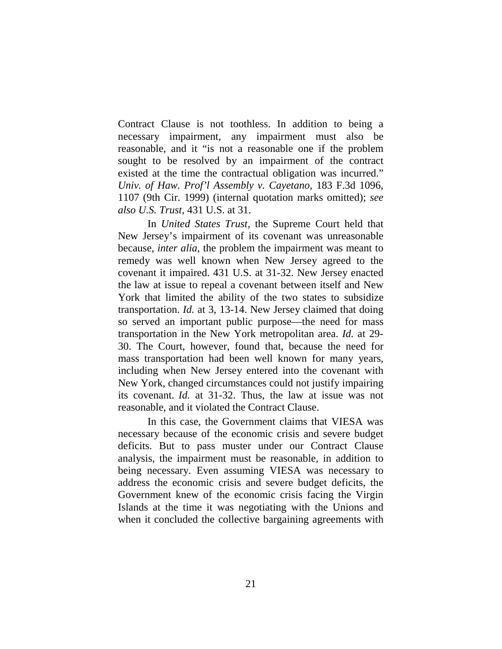Contract Clause is not toothless. In addition to being a necessary impairment, any impairment must also be reasonable, and it "is not a reasonable one if the problem sought to be resolved by an impairment of the contract existed at the time the contractual obligation was incurred." *Univ. of Haw. Prof'l Assembly v. Cayetano*, 183 F.3d 1096, 1107 (9th Cir. 1999) (internal quotation marks omitted); *see also U.S. Trust*, 431 U.S. at 31.

In *United States Trust*, the Supreme Court held that New Jersey's impairment of its covenant was unreasonable because, *inter alia*, the problem the impairment was meant to remedy was well known when New Jersey agreed to the covenant it impaired. 431 U.S. at 31-32. New Jersey enacted the law at issue to repeal a covenant between itself and New York that limited the ability of the two states to subsidize transportation. *Id.* at 3, 13-14. New Jersey claimed that doing so served an important public purpose—the need for mass transportation in the New York metropolitan area. *Id.* at 29- 30. The Court, however, found that, because the need for mass transportation had been well known for many years, including when New Jersey entered into the covenant with New York, changed circumstances could not justify impairing its covenant. *Id.* at 31-32. Thus, the law at issue was not reasonable, and it violated the Contract Clause.

In this case, the Government claims that VIESA was necessary because of the economic crisis and severe budget deficits. But to pass muster under our Contract Clause analysis, the impairment must be reasonable, in addition to being necessary. Even assuming VIESA was necessary to address the economic crisis and severe budget deficits, the Government knew of the economic crisis facing the Virgin Islands at the time it was negotiating with the Unions and when it concluded the collective bargaining agreements with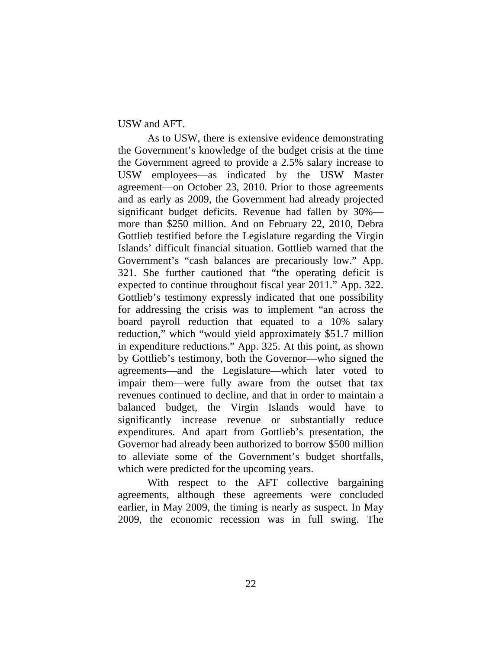USW and AFT.

As to USW, there is extensive evidence demonstrating the Government's knowledge of the budget crisis at the time the Government agreed to provide a 2.5% salary increase to USW employees—as indicated by the USW Master agreement—on October 23, 2010. Prior to those agreements and as early as 2009, the Government had already projected significant budget deficits. Revenue had fallen by 30% more than \$250 million. And on February 22, 2010, Debra Gottlieb testified before the Legislature regarding the Virgin Islands' difficult financial situation. Gottlieb warned that the Government's "cash balances are precariously low." App. 321. She further cautioned that "the operating deficit is expected to continue throughout fiscal year 2011." App. 322. Gottlieb's testimony expressly indicated that one possibility for addressing the crisis was to implement "an across the board payroll reduction that equated to a 10% salary reduction," which "would yield approximately \$51.7 million in expenditure reductions." App. 325. At this point, as shown by Gottlieb's testimony, both the Governor—who signed the agreements—and the Legislature—which later voted to impair them—were fully aware from the outset that tax revenues continued to decline, and that in order to maintain a balanced budget, the Virgin Islands would have to significantly increase revenue or substantially reduce expenditures. And apart from Gottlieb's presentation, the Governor had already been authorized to borrow \$500 million to alleviate some of the Government's budget shortfalls, which were predicted for the upcoming years.

With respect to the AFT collective bargaining agreements, although these agreements were concluded earlier, in May 2009, the timing is nearly as suspect. In May 2009, the economic recession was in full swing. The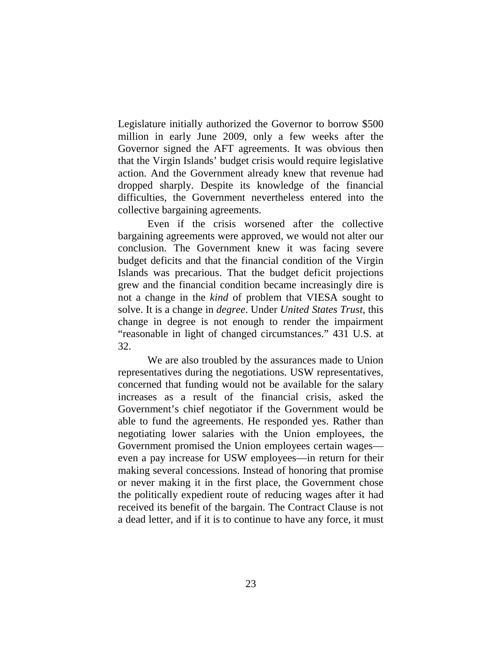Legislature initially authorized the Governor to borrow \$500 million in early June 2009, only a few weeks after the Governor signed the AFT agreements. It was obvious then that the Virgin Islands' budget crisis would require legislative action. And the Government already knew that revenue had dropped sharply. Despite its knowledge of the financial difficulties, the Government nevertheless entered into the collective bargaining agreements.

Even if the crisis worsened after the collective bargaining agreements were approved, we would not alter our conclusion. The Government knew it was facing severe budget deficits and that the financial condition of the Virgin Islands was precarious. That the budget deficit projections grew and the financial condition became increasingly dire is not a change in the *kind* of problem that VIESA sought to solve. It is a change in *degree*. Under *United States Trust*, this change in degree is not enough to render the impairment "reasonable in light of changed circumstances." 431 U.S. at 32.

We are also troubled by the assurances made to Union representatives during the negotiations. USW representatives, concerned that funding would not be available for the salary increases as a result of the financial crisis, asked the Government's chief negotiator if the Government would be able to fund the agreements. He responded yes. Rather than negotiating lower salaries with the Union employees, the Government promised the Union employees certain wages even a pay increase for USW employees—in return for their making several concessions. Instead of honoring that promise or never making it in the first place, the Government chose the politically expedient route of reducing wages after it had received its benefit of the bargain. The Contract Clause is not a dead letter, and if it is to continue to have any force, it must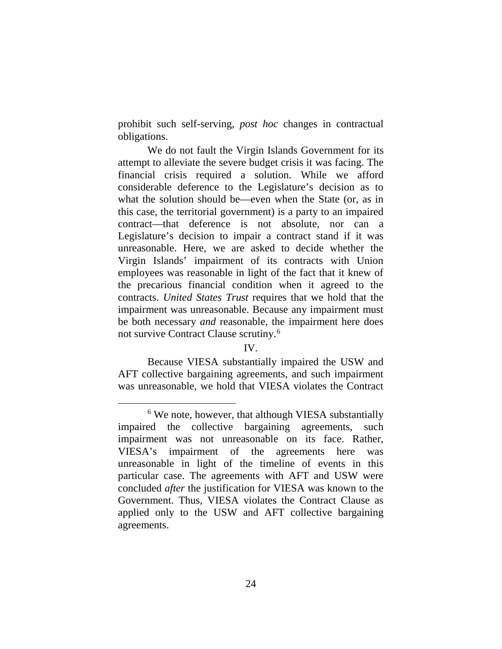prohibit such self-serving, *post hoc* changes in contractual obligations.

We do not fault the Virgin Islands Government for its attempt to alleviate the severe budget crisis it was facing. The financial crisis required a solution. While we afford considerable deference to the Legislature's decision as to what the solution should be—even when the State (or, as in this case, the territorial government) is a party to an impaired contract—that deference is not absolute, nor can a Legislature's decision to impair a contract stand if it was unreasonable. Here, we are asked to decide whether the Virgin Islands' impairment of its contracts with Union employees was reasonable in light of the fact that it knew of the precarious financial condition when it agreed to the contracts. *United States Trust* requires that we hold that the impairment was unreasonable. Because any impairment must be both necessary *and* reasonable, the impairment here does not survive Contract Clause scrutiny.6

### IV.

Because VIESA substantially impaired the USW and AFT collective bargaining agreements, and such impairment was unreasonable, we hold that VIESA violates the Contract

<sup>&</sup>lt;sup>6</sup> We note, however, that although VIESA substantially impaired the collective bargaining agreements, such impairment was not unreasonable on its face. Rather, VIESA's impairment of the agreements here was unreasonable in light of the timeline of events in this particular case. The agreements with AFT and USW were concluded *after* the justification for VIESA was known to the Government. Thus, VIESA violates the Contract Clause as applied only to the USW and AFT collective bargaining agreements.